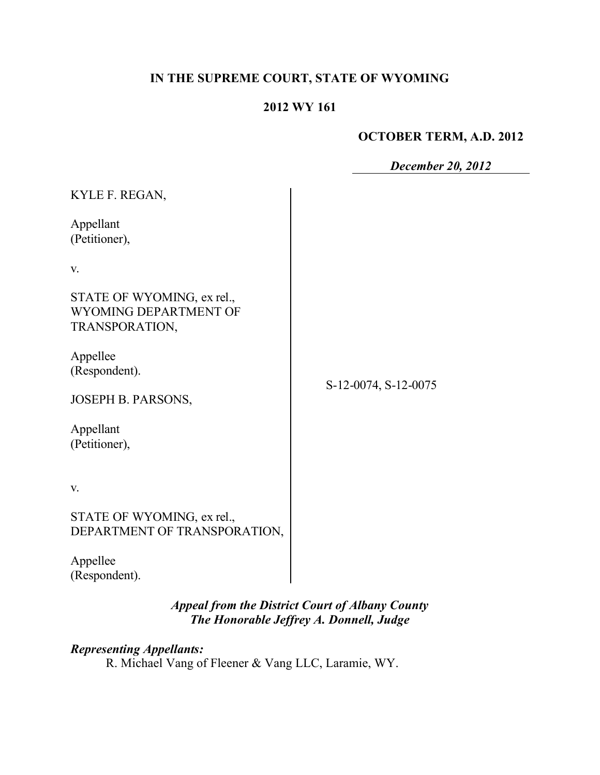# **IN THE SUPREME COURT, STATE OF WYOMING**

### **2012 WY 161**

### **OCTOBER TERM, A.D. 2012**

*December 20, 2012*

| KYLE F. REGAN,                                                        |                      |
|-----------------------------------------------------------------------|----------------------|
| Appellant<br>(Petitioner),                                            |                      |
| V.                                                                    |                      |
| STATE OF WYOMING, ex rel.,<br>WYOMING DEPARTMENT OF<br>TRANSPORATION, |                      |
| Appellee<br>(Respondent).                                             | S-12-0074, S-12-0075 |
| JOSEPH B. PARSONS,                                                    |                      |
| Appellant<br>(Petitioner),                                            |                      |
| V.                                                                    |                      |
| STATE OF WYOMING, ex rel.,<br>DEPARTMENT OF TRANSPORATION,            |                      |
| Appellee<br>(Respondent).                                             |                      |

## *Appeal from the District Court of Albany County The Honorable Jeffrey A. Donnell, Judge*

*Representing Appellants:* R. Michael Vang of Fleener & Vang LLC, Laramie, WY.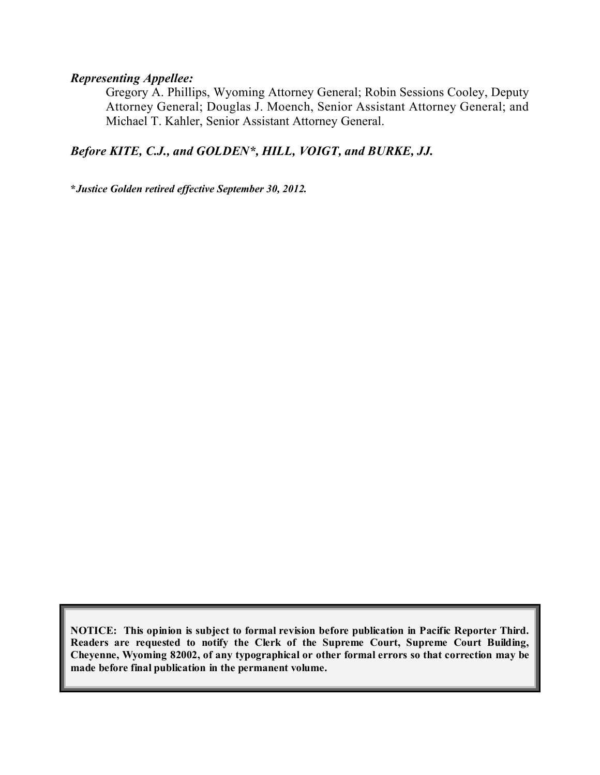#### *Representing Appellee:*

Gregory A. Phillips, Wyoming Attorney General; Robin Sessions Cooley, Deputy Attorney General; Douglas J. Moench, Senior Assistant Attorney General; and Michael T. Kahler, Senior Assistant Attorney General.

### *Before KITE, C.J., and GOLDEN\*, HILL, VOIGT, and BURKE, JJ.*

**\****Justice Golden retired effective September 30, 2012.*

**NOTICE: This opinion is subject to formal revision before publication in Pacific Reporter Third. Readers are requested to notify the Clerk of the Supreme Court, Supreme Court Building, Cheyenne, Wyoming 82002, of any typographical or other formal errors so that correction may be made before final publication in the permanent volume.**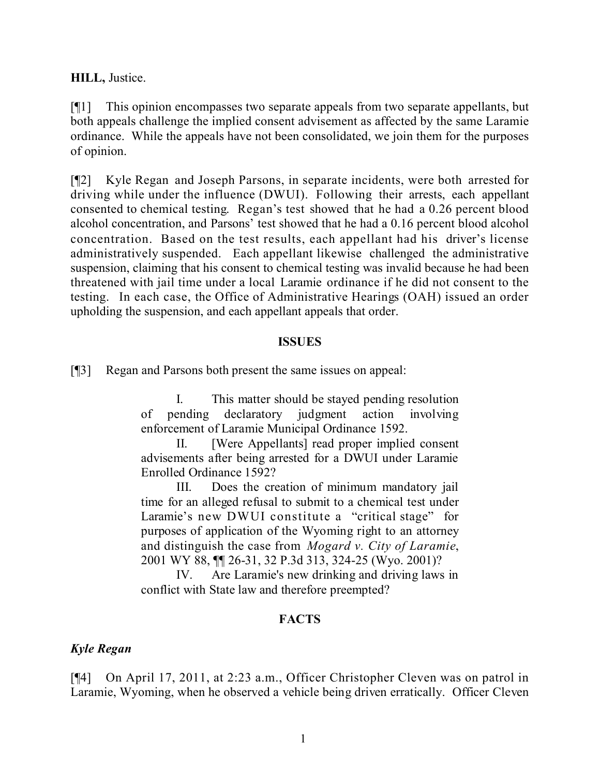### **HILL,** Justice.

[¶1] This opinion encompasses two separate appeals from two separate appellants, but both appeals challenge the implied consent advisement as affected by the same Laramie ordinance. While the appeals have not been consolidated, we join them for the purposes of opinion.

[¶2] Kyle Regan and Joseph Parsons, in separate incidents, were both arrested for driving while under the influence (DWUI). Following their arrests, each appellant consented to chemical testing. Regan's test showed that he had a 0.26 percent blood alcohol concentration, and Parsons' test showed that he had a 0.16 percent blood alcohol concentration. Based on the test results, each appellant had his driver's license administratively suspended. Each appellant likewise challenged the administrative suspension, claiming that his consent to chemical testing was invalid because he had been threatened with jail time under a local Laramie ordinance if he did not consent to the testing. In each case, the Office of Administrative Hearings (OAH) issued an order upholding the suspension, and each appellant appeals that order.

#### **ISSUES**

[¶3] Regan and Parsons both present the same issues on appeal:

I. This matter should be stayed pending resolution of pending declaratory judgment action involving enforcement of Laramie Municipal Ordinance 1592.

II. [Were Appellants] read proper implied consent advisements after being arrested for a DWUI under Laramie Enrolled Ordinance 1592?

III. Does the creation of minimum mandatory jail time for an alleged refusal to submit to a chemical test under Laramie's new DWUI constitute a "critical stage" for purposes of application of the Wyoming right to an attorney and distinguish the case from *Mogard v. City of Laramie*, 2001 WY 88, ¶¶ 26-31, 32 P.3d 313, 324-25 (Wyo. 2001)?

IV. Are Laramie's new drinking and driving laws in conflict with State law and therefore preempted?

### **FACTS**

### *Kyle Regan*

[¶4] On April 17, 2011, at 2:23 a.m., Officer Christopher Cleven was on patrol in Laramie, Wyoming, when he observed a vehicle being driven erratically. Officer Cleven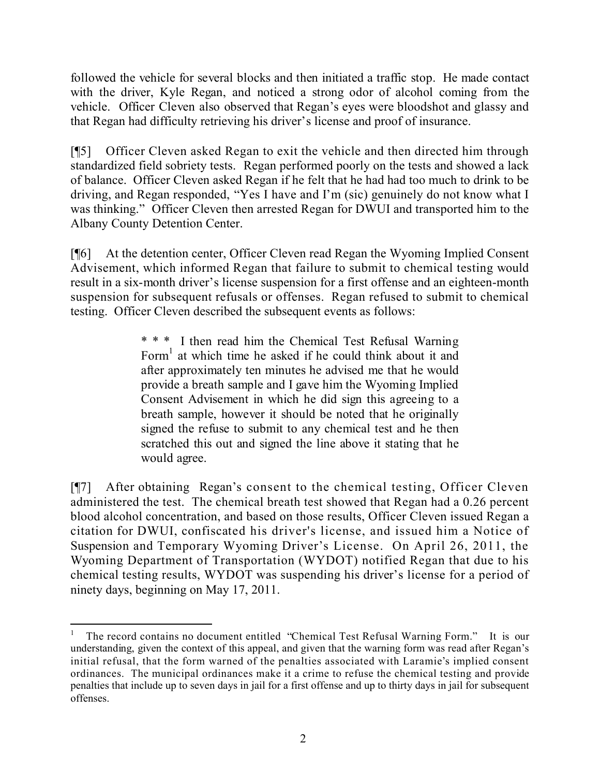followed the vehicle for several blocks and then initiated a traffic stop. He made contact with the driver, Kyle Regan, and noticed a strong odor of alcohol coming from the vehicle. Officer Cleven also observed that Regan's eyes were bloodshot and glassy and that Regan had difficulty retrieving his driver's license and proof of insurance.

[¶5] Officer Cleven asked Regan to exit the vehicle and then directed him through standardized field sobriety tests. Regan performed poorly on the tests and showed a lack of balance. Officer Cleven asked Regan if he felt that he had had too much to drink to be driving, and Regan responded, "Yes I have and I'm (sic) genuinely do not know what I was thinking." Officer Cleven then arrested Regan for DWUI and transported him to the Albany County Detention Center.

[¶6] At the detention center, Officer Cleven read Regan the Wyoming Implied Consent Advisement, which informed Regan that failure to submit to chemical testing would result in a six-month driver's license suspension for a first offense and an eighteen-month suspension for subsequent refusals or offenses. Regan refused to submit to chemical testing. Officer Cleven described the subsequent events as follows:

> \* \* \* I then read him the Chemical Test Refusal Warning Form<sup>1</sup> at which time he asked if he could think about it and after approximately ten minutes he advised me that he would provide a breath sample and I gave him the Wyoming Implied Consent Advisement in which he did sign this agreeing to a breath sample, however it should be noted that he originally signed the refuse to submit to any chemical test and he then scratched this out and signed the line above it stating that he would agree.

[¶7] After obtaining Regan's consent to the chemical testing, Officer Cleven administered the test. The chemical breath test showed that Regan had a 0.26 percent blood alcohol concentration, and based on those results, Officer Cleven issued Regan a citation for DWUI, confiscated his driver's license, and issued him a Notice of Suspension and Temporary Wyoming Driver's License. On April 26, 2011, the Wyoming Department of Transportation (WYDOT) notified Regan that due to his chemical testing results, WYDOT was suspending his driver's license for a period of ninety days, beginning on May 17, 2011.

<sup>1</sup> The record contains no document entitled "Chemical Test Refusal Warning Form." It is our understanding, given the context of this appeal, and given that the warning form was read after Regan's initial refusal, that the form warned of the penalties associated with Laramie's implied consent ordinances. The municipal ordinances make it a crime to refuse the chemical testing and provide penalties that include up to seven days in jail for a first offense and up to thirty days in jail for subsequent offenses.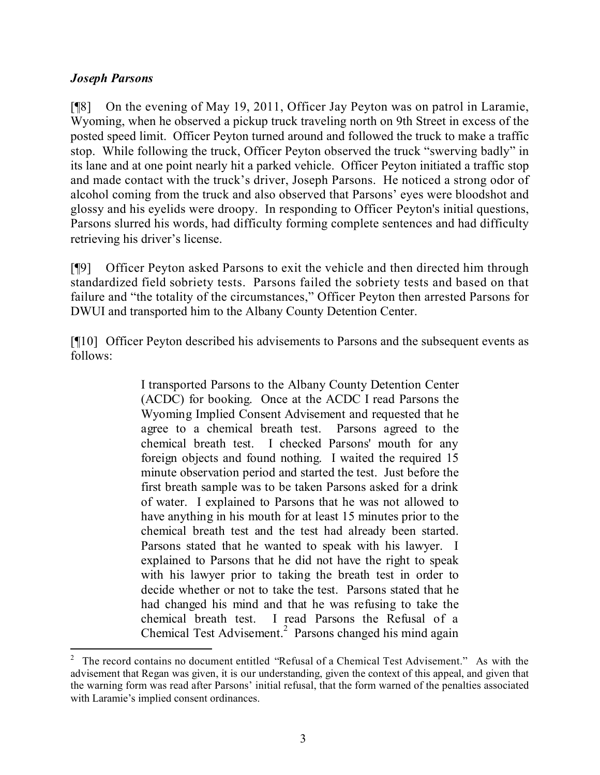### *Joseph Parsons*

[¶8] On the evening of May 19, 2011, Officer Jay Peyton was on patrol in Laramie, Wyoming, when he observed a pickup truck traveling north on 9th Street in excess of the posted speed limit. Officer Peyton turned around and followed the truck to make a traffic stop. While following the truck, Officer Peyton observed the truck "swerving badly" in its lane and at one point nearly hit a parked vehicle. Officer Peyton initiated a traffic stop and made contact with the truck's driver, Joseph Parsons. He noticed a strong odor of alcohol coming from the truck and also observed that Parsons' eyes were bloodshot and glossy and his eyelids were droopy. In responding to Officer Peyton's initial questions, Parsons slurred his words, had difficulty forming complete sentences and had difficulty retrieving his driver's license.

[¶9] Officer Peyton asked Parsons to exit the vehicle and then directed him through standardized field sobriety tests. Parsons failed the sobriety tests and based on that failure and "the totality of the circumstances," Officer Peyton then arrested Parsons for DWUI and transported him to the Albany County Detention Center.

[¶10] Officer Peyton described his advisements to Parsons and the subsequent events as follows:

> I transported Parsons to the Albany County Detention Center (ACDC) for booking. Once at the ACDC I read Parsons the Wyoming Implied Consent Advisement and requested that he agree to a chemical breath test. Parsons agreed to the chemical breath test. I checked Parsons' mouth for any foreign objects and found nothing. I waited the required 15 minute observation period and started the test. Just before the first breath sample was to be taken Parsons asked for a drink of water. I explained to Parsons that he was not allowed to have anything in his mouth for at least 15 minutes prior to the chemical breath test and the test had already been started. Parsons stated that he wanted to speak with his lawyer. I explained to Parsons that he did not have the right to speak with his lawyer prior to taking the breath test in order to decide whether or not to take the test. Parsons stated that he had changed his mind and that he was refusing to take the chemical breath test. I read Parsons the Refusal of a Chemical Test Advisement.<sup>2</sup> Parsons changed his mind again

 $\overline{a}$ 

<sup>2</sup> The record contains no document entitled "Refusal of a Chemical Test Advisement." As with the advisement that Regan was given, it is our understanding, given the context of this appeal, and given that the warning form was read after Parsons' initial refusal, that the form warned of the penalties associated with Laramie's implied consent ordinances.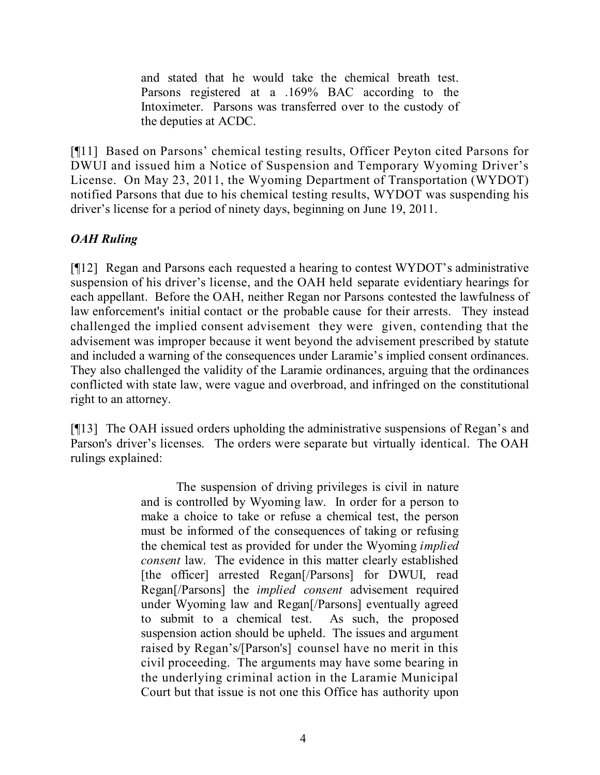and stated that he would take the chemical breath test. Parsons registered at a .169% BAC according to the Intoximeter. Parsons was transferred over to the custody of the deputies at ACDC.

[¶11] Based on Parsons' chemical testing results, Officer Peyton cited Parsons for DWUI and issued him a Notice of Suspension and Temporary Wyoming Driver's License. On May 23, 2011, the Wyoming Department of Transportation (WYDOT) notified Parsons that due to his chemical testing results, WYDOT was suspending his driver's license for a period of ninety days, beginning on June 19, 2011.

## *OAH Ruling*

[¶12] Regan and Parsons each requested a hearing to contest WYDOT's administrative suspension of his driver's license, and the OAH held separate evidentiary hearings for each appellant. Before the OAH, neither Regan nor Parsons contested the lawfulness of law enforcement's initial contact or the probable cause for their arrests. They instead challenged the implied consent advisement they were given, contending that the advisement was improper because it went beyond the advisement prescribed by statute and included a warning of the consequences under Laramie's implied consent ordinances. They also challenged the validity of the Laramie ordinances, arguing that the ordinances conflicted with state law, were vague and overbroad, and infringed on the constitutional right to an attorney.

[¶13] The OAH issued orders upholding the administrative suspensions of Regan's and Parson's driver's licenses. The orders were separate but virtually identical. The OAH rulings explained:

> The suspension of driving privileges is civil in nature and is controlled by Wyoming law. In order for a person to make a choice to take or refuse a chemical test, the person must be informed of the consequences of taking or refusing the chemical test as provided for under the Wyoming *implied consent* law. The evidence in this matter clearly established [the officer] arrested Regan[/Parsons] for DWUI, read Regan[/Parsons] the *implied consent* advisement required under Wyoming law and Regan[/Parsons] eventually agreed to submit to a chemical test. As such, the proposed suspension action should be upheld. The issues and argument raised by Regan's/[Parson's] counsel have no merit in this civil proceeding. The arguments may have some bearing in the underlying criminal action in the Laramie Municipal Court but that issue is not one this Office has authority upon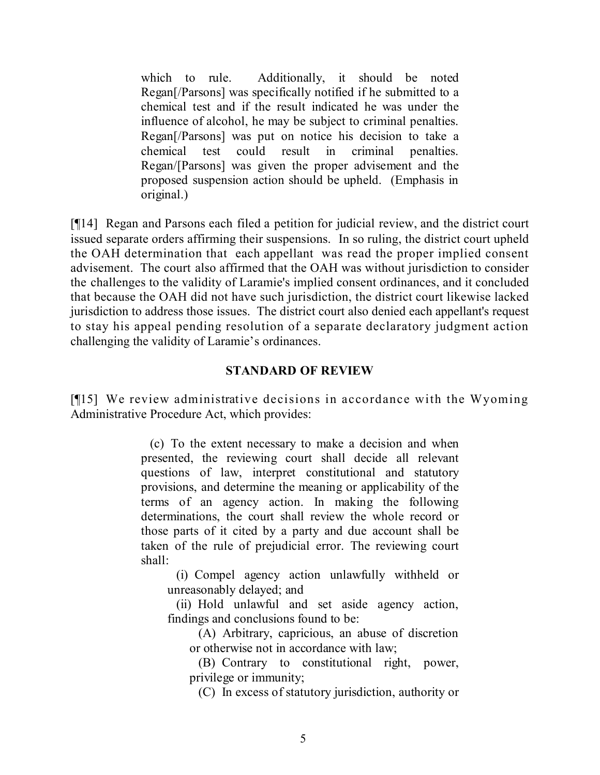which to rule. Additionally, it should be noted Regan[/Parsons] was specifically notified if he submitted to a chemical test and if the result indicated he was under the influence of alcohol, he may be subject to criminal penalties. Regan[/Parsons] was put on notice his decision to take a chemical test could result in criminal penalties. Regan/[Parsons] was given the proper advisement and the proposed suspension action should be upheld. (Emphasis in original.)

[¶14] Regan and Parsons each filed a petition for judicial review, and the district court issued separate orders affirming their suspensions. In so ruling, the district court upheld the OAH determination that each appellant was read the proper implied consent advisement. The court also affirmed that the OAH was without jurisdiction to consider the challenges to the validity of Laramie's implied consent ordinances, and it concluded that because the OAH did not have such jurisdiction, the district court likewise lacked jurisdiction to address those issues. The district court also denied each appellant's request to stay his appeal pending resolution of a separate declaratory judgment action challenging the validity of Laramie's ordinances.

#### **STANDARD OF REVIEW**

[¶15] We review administrative decisions in accordance with the Wyoming Administrative Procedure Act, which provides:

> (c) To the extent necessary to make a decision and when presented, the reviewing court shall decide all relevant questions of law, interpret constitutional and statutory provisions, and determine the meaning or applicability of the terms of an agency action. In making the following determinations, the court shall review the whole record or those parts of it cited by a party and due account shall be taken of the rule of prejudicial error. The reviewing court shall:

(i) Compel agency action unlawfully withheld or unreasonably delayed; and

(ii) Hold unlawful and set aside agency action, findings and conclusions found to be:

(A) Arbitrary, capricious, an abuse of discretion or otherwise not in accordance with law;

(B) Contrary to constitutional right, power, privilege or immunity;

(C) In excess of statutory jurisdiction, authority or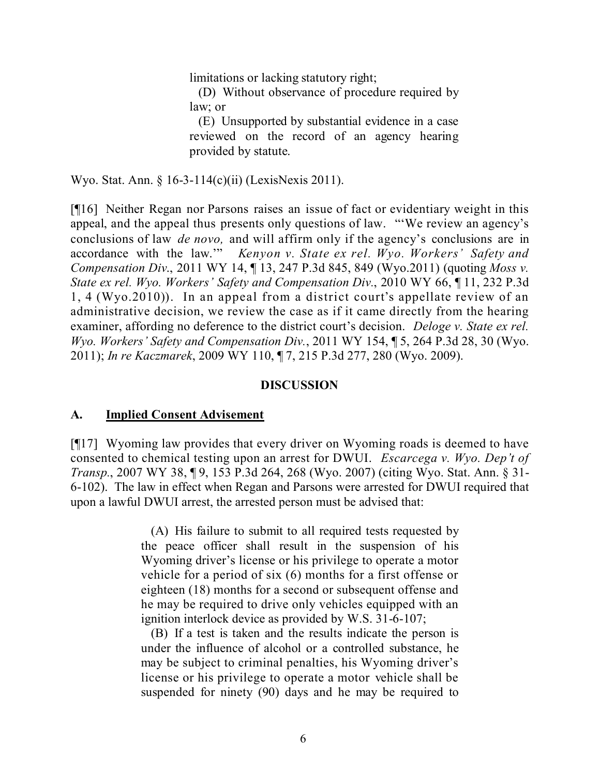limitations or lacking statutory right;

(D) Without observance of procedure required by law; or

(E) Unsupported by substantial evidence in a case reviewed on the record of an agency hearing provided by statute.

Wyo. Stat. Ann. § 16-3-114(c)(ii) (LexisNexis 2011).

[¶16] Neither Regan nor Parsons raises an issue of fact or evidentiary weight in this appeal, and the appeal thus presents only questions of law. "'We review an agency's conclusions of law *de novo,* and will affirm only if the agency's conclusions are in accordance with the law.'" *Kenyon v. State ex rel. Wyo. Workers' Safety and Compensation Div*., 2011 WY 14, ¶ 13, 247 P.3d 845, 849 (Wyo.2011) (quoting *Moss v. State ex rel. Wyo. Workers' Safety and Compensation Div.*, 2010 WY 66, ¶ 11, 232 P.3d 1, 4 (Wyo.2010)). In an appeal from a district court's appellate review of an administrative decision, we review the case as if it came directly from the hearing examiner, affording no deference to the district court's decision. *Deloge v. State ex rel. Wyo. Workers' Safety and Compensation Div.*, 2011 WY 154, ¶ 5, 264 P.3d 28, 30 (Wyo. 2011); *In re Kaczmarek*, 2009 WY 110, ¶ 7, 215 P.3d 277, 280 (Wyo. 2009).

#### **DISCUSSION**

#### **A. Implied Consent Advisement**

[¶17] Wyoming law provides that every driver on Wyoming roads is deemed to have consented to chemical testing upon an arrest for DWUI. *Escarcega v. Wyo. Dep't of Transp.*, 2007 WY 38, ¶ 9, 153 P.3d 264, 268 (Wyo. 2007) (citing Wyo. Stat. Ann. § 31- 6-102). The law in effect when Regan and Parsons were arrested for DWUI required that upon a lawful DWUI arrest, the arrested person must be advised that:

> (A) His failure to submit to all required tests requested by the peace officer shall result in the suspension of his Wyoming driver's license or his privilege to operate a motor vehicle for a period of six (6) months for a first offense or eighteen (18) months for a second or subsequent offense and he may be required to drive only vehicles equipped with an ignition interlock device as provided by W.S. 31-6-107;

> (B) If a test is taken and the results indicate the person is under the influence of alcohol or a controlled substance, he may be subject to criminal penalties, his Wyoming driver's license or his privilege to operate a motor vehicle shall be suspended for ninety (90) days and he may be required to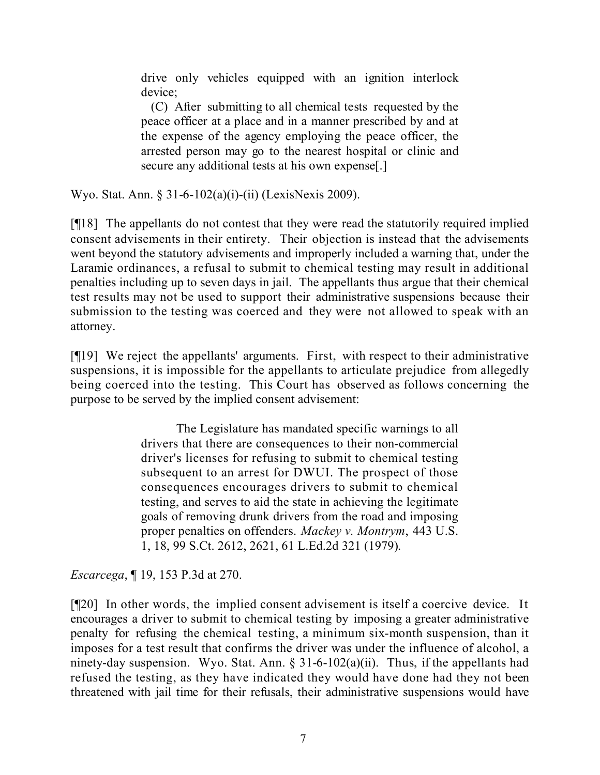drive only vehicles equipped with an ignition interlock device;

(C) After submitting to all chemical tests requested by the peace officer at a place and in a manner prescribed by and at the expense of the agency employing the peace officer, the arrested person may go to the nearest hospital or clinic and secure any additional tests at his own expense[.]

Wyo. Stat. Ann. § 31-6-102(a)(i)-(ii) (LexisNexis 2009).

[¶18] The appellants do not contest that they were read the statutorily required implied consent advisements in their entirety. Their objection is instead that the advisements went beyond the statutory advisements and improperly included a warning that, under the Laramie ordinances, a refusal to submit to chemical testing may result in additional penalties including up to seven days in jail. The appellants thus argue that their chemical test results may not be used to support their administrative suspensions because their submission to the testing was coerced and they were not allowed to speak with an attorney.

[¶19] We reject the appellants' arguments. First, with respect to their administrative suspensions, it is impossible for the appellants to articulate prejudice from allegedly being coerced into the testing. This Court has observed as follows concerning the purpose to be served by the implied consent advisement:

> The Legislature has mandated specific warnings to all drivers that there are consequences to their non-commercial driver's licenses for refusing to submit to chemical testing subsequent to an arrest for DWUI. The prospect of those consequences encourages drivers to submit to chemical testing, and serves to aid the state in achieving the legitimate goals of removing drunk drivers from the road and imposing proper penalties on offenders. *Mackey v. Montrym*, 443 U.S. 1, 18, 99 S.Ct. 2612, 2621, 61 L.Ed.2d 321 (1979).

*Escarcega*, ¶ 19, 153 P.3d at 270.

[¶20] In other words, the implied consent advisement is itself a coercive device. It encourages a driver to submit to chemical testing by imposing a greater administrative penalty for refusing the chemical testing, a minimum six-month suspension, than it imposes for a test result that confirms the driver was under the influence of alcohol, a ninety-day suspension. Wyo. Stat. Ann.  $\S 31-6-102(a)(ii)$ . Thus, if the appellants had refused the testing, as they have indicated they would have done had they not been threatened with jail time for their refusals, their administrative suspensions would have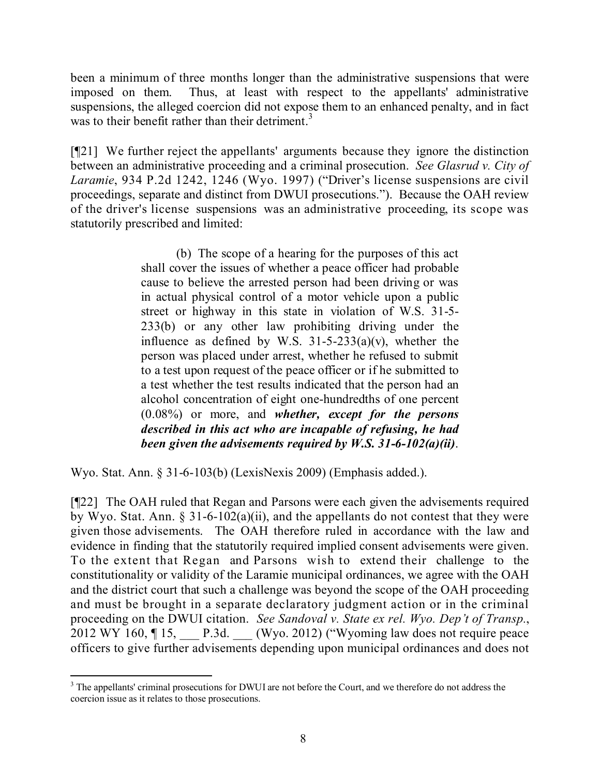been a minimum of three months longer than the administrative suspensions that were imposed on them. Thus, at least with respect to the appellants' administrative suspensions, the alleged coercion did not expose them to an enhanced penalty, and in fact was to their benefit rather than their detriment.<sup>3</sup>

[¶21] We further reject the appellants' arguments because they ignore the distinction between an administrative proceeding and a criminal prosecution. *See Glasrud v. City of Laramie*, 934 P.2d 1242, 1246 (Wyo. 1997) ("Driver's license suspensions are civil proceedings, separate and distinct from DWUI prosecutions."). Because the OAH review of the driver's license suspensions was an administrative proceeding, its scope was statutorily prescribed and limited:

> (b) The scope of a hearing for the purposes of this act shall cover the issues of whether a peace officer had probable cause to believe the arrested person had been driving or was in actual physical control of a motor vehicle upon a public street or highway in this state in violation of W.S. 31-5- 233(b) or any other law prohibiting driving under the influence as defined by W.S.  $31-5-233(a)(v)$ , whether the person was placed under arrest, whether he refused to submit to a test upon request of the peace officer or if he submitted to a test whether the test results indicated that the person had an alcohol concentration of eight one-hundredths of one percent (0.08%) or more, and *whether, except for the persons described in this act who are incapable of refusing, he had been given the advisements required by W.S. 31-6-102(a)(ii)*.

Wyo. Stat. Ann. § 31-6-103(b) (LexisNexis 2009) (Emphasis added.).

 $\overline{a}$ 

[¶22] The OAH ruled that Regan and Parsons were each given the advisements required by Wyo. Stat. Ann. § 31-6-102(a)(ii), and the appellants do not contest that they were given those advisements. The OAH therefore ruled in accordance with the law and evidence in finding that the statutorily required implied consent advisements were given. To the extent that Regan and Parsons wish to extend their challenge to the constitutionality or validity of the Laramie municipal ordinances, we agree with the OAH and the district court that such a challenge was beyond the scope of the OAH proceeding and must be brought in a separate declaratory judgment action or in the criminal proceeding on the DWUI citation. *See Sandoval v. State ex rel. Wyo. Dep't of Transp.*,  $2012$  WY 160,  $\P$  15, P.3d. (Wyo. 2012) ("Wyoming law does not require peace officers to give further advisements depending upon municipal ordinances and does not

<sup>&</sup>lt;sup>3</sup> The appellants' criminal prosecutions for DWUI are not before the Court, and we therefore do not address the coercion issue as it relates to those prosecutions.